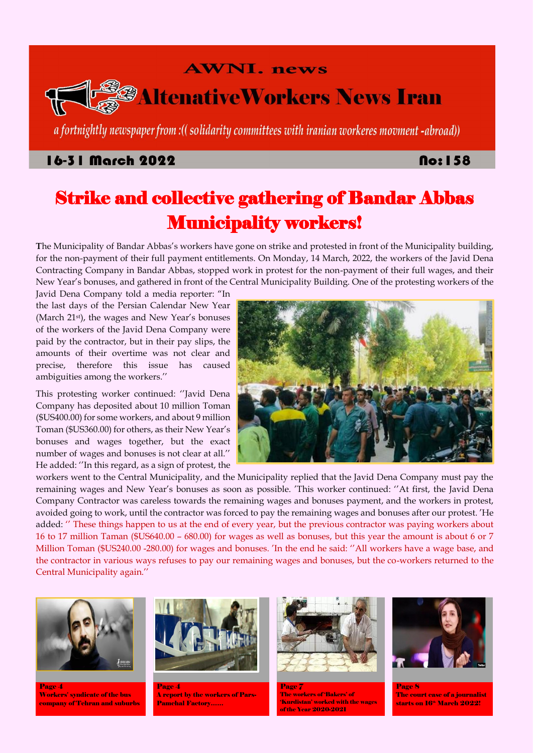## **AWNI. news**



# *<sup>3</sup>AltenativeWorkers News Iran*

a fortnightly newspaper from : ((solidarity committees with iranian workeres movment -abroad))

## 16-31 March 2022

## **No: 158**

# Strike and collective gathering of Bandar Abbas Municipality workers!

**T**he Municipality of Bandar Abbas's workers have gone on strike and protested in front of the Municipality building, for the non-payment of their full payment entitlements. On Monday, 14 March, 2022, the workers of the Javid Dena Contracting Company in Bandar Abbas, stopped work in protest for the non-payment of their full wages, and their New Year's bonuses, and gathered in front of the Central Municipality Building. One of the protesting workers of the

Javid Dena Company told a media reporter: "In the last days of the Persian Calendar New Year (March 21<sup>st</sup>), the wages and New Year's bonuses of the workers of the Javid Dena Company were paid by the contractor, but in their pay slips, the amounts of their overtime was not clear and precise, therefore this issue has caused ambiguities among the workers.''

This protesting worker continued: ''Javid Dena Company has deposited about 10 million Toman (\$US400.00) for some workers, and about 9 million Toman (\$US360.00) for others, as their New Year's bonuses and wages together, but the exact number of wages and bonuses is not clear at all.'' He added: ''In this regard, as a sign of protest, the



Page 4 Workers' syndicate of the bus company of Tehran and suburbs Page 4 A report by the workers of Pars-Pamchal Factory……

Page **7** The workers of 'Bakers' of 'Kurdistan' worked with the wages of the Year 2020-2021

Page 8 The court case of a journalist starts on 16<sup>th</sup> March 2022!

workers went to the Central Municipality, and the Municipality replied that the Javid Dena Company must pay the remaining wages and New Year's bonuses as soon as possible. 'This worker continued: ''At first, the Javid Dena Company Contractor was careless towards the remaining wages and bonuses payment, and the workers in protest, avoided going to work, until the contractor was forced to pay the remaining wages and bonuses after our protest. 'He added: '' These things happen to us at the end of every year, but the previous contractor was paying workers about 16 to 17 million Taman (\$US640.00 – 680.00) for wages as well as bonuses, but this year the amount is about 6 or 7 Million Toman (\$US240.00 -280.00) for wages and bonuses. 'In the end he said: ''All workers have a wage base, and the contractor in various ways refuses to pay our remaining wages and bonuses, but the co-workers returned to the

#### Central Municipality again.''







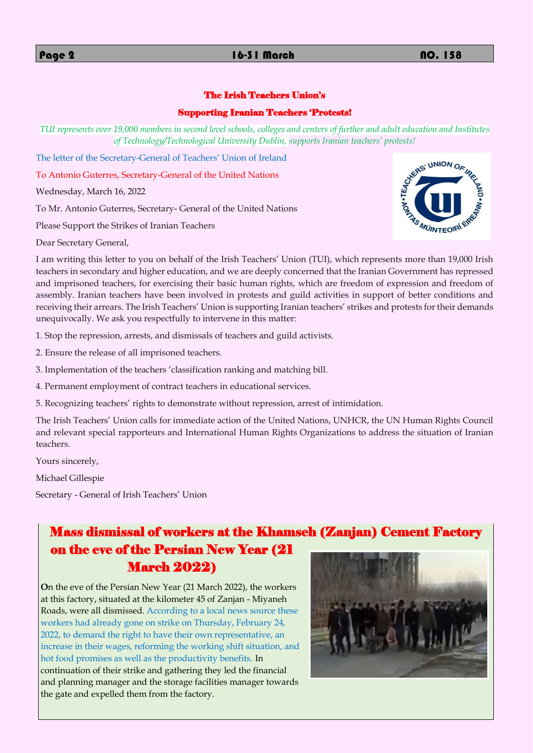## The Irish Teachers Union's

## Supporting Iranian Teachers 'Protests!

*TUI represents over 19,000 members in second level schools, colleges and centers of further and adult education and Institutes* 



The letter of the Secretary-General of Teachers' Union of Ireland

To Antonio Guterres, Secretary-General of the United Nations

Wednesday, March 16, 2022

To Mr. Antonio Guterres, Secretary- General of the United Nations

Please Support the Strikes of Iranian Teachers

Dear Secretary General,

I am writing this letter to you on behalf of the Irish Teachers' Union (TUI), which represents more than 19,000 Irish teachers in secondary and higher education, and we are deeply concerned that the Iranian Government has repressed and imprisoned teachers, for exercising their basic human rights, which are freedom of expression and freedom of assembly. Iranian teachers have been involved in protests and guild activities in support of better conditions and receiving their arrears. The Irish Teachers' Union is supporting Iranian teachers' strikes and protests for their demands unequivocally. We ask you respectfully to intervene in this matter:

1. Stop the repression, arrests, and dismissals of teachers and guild activists.

2. Ensure the release of all imprisoned teachers.

3. Implementation of the teachers 'classification ranking and matching bill.

4. Permanent employment of contract teachers in educational services.

5. Recognizing teachers' rights to demonstrate without repression, arrest of intimidation.

The Irish Teachers' Union calls for immediate action of the United Nations, UNHCR, the UN Human Rights Council and relevant special rapporteurs and International Human Rights Organizations to address the situation of Iranian teachers.

Yours sincerely,

Michael Gillespie

Secretary - General of Irish Teachers' Union

## Mass dismissal of workers at the Khamseh (Zanjan) Cement Factory on the eve of the Persian New Year (21 March 2022)

**O**n the eve of the Persian New Year (21 March 2022), the workers at this factory, situated at the kilometer 45 of Zanjan - Miyaneh Roads, were all dismissed. According to a local news source these workers had already gone on strike on Thursday, February 24, 2022, to demand the right to have their own representative, an increase in their wages, reforming the working shift situation, and hot food promises as well as the productivity benefits. In continuation of their strike and gathering they led the financial and planning manager and the storage facilities manager towards the gate and expelled them from the factory.

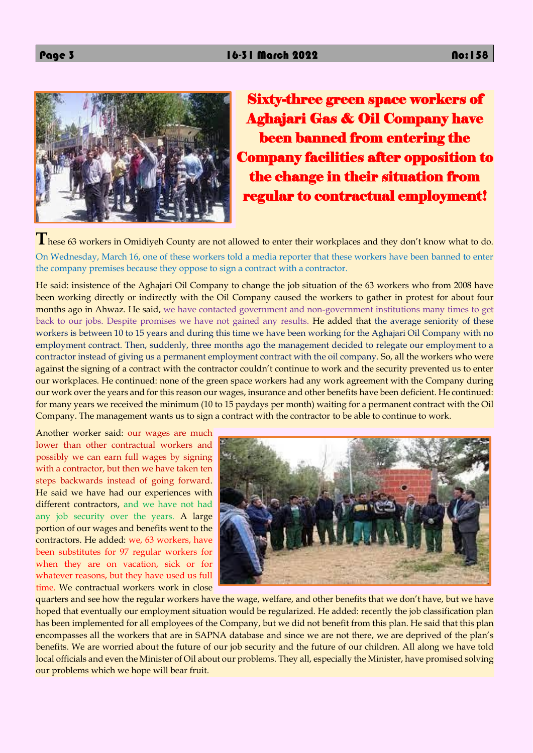

**T**hese 63 workers in Omidiyeh County are not allowed to enter their workplaces and they don't know what to do. On Wednesday, March 16, one of these workers told a media reporter that these workers have been banned to enter the company premises because they oppose to sign a contract with a contractor.

Sixty-three green space workers of Aghajari Gas & Oil Company have been banned from entering the Company facilities after opposition to the change in their situation from regular to contractual employment!

He said: insistence of the Aghajari Oil Company to change the job situation of the 63 workers who from 2008 have been working directly or indirectly with the Oil Company caused the workers to gather in protest for about four months ago in Ahwaz. He said, we have contacted government and non-government institutions many times to get back to our jobs. Despite promises we have not gained any results. He added that the average seniority of these workers is between 10 to 15 years and during this time we have been working for the Aghajari Oil Company with no employment contract. Then, suddenly, three months ago the management decided to relegate our employment to a contractor instead of giving us a permanent employment contract with the oil company. So, all the workers who were against the signing of a contract with the contractor couldn't continue to work and the security prevented us to enter our workplaces. He continued: none of the green space workers had any work agreement with the Company during our work over the years and for this reason our wages, insurance and other benefits have been deficient. He continued: for many years we received the minimum (10 to 15 paydays per month) waiting for a permanent contract with the Oil Company. The management wants us to sign a contract with the contractor to be able to continue to work.

Another worker said: our wages are much lower than other contractual workers and possibly we can earn full wages by signing with a contractor, but then we have taken ten steps backwards instead of going forward. He said we have had our experiences with different contractors, and we have not had any job security over the years. A large portion of our wages and benefits went to the contractors. He added: we, 63 workers, have been substitutes for 97 regular workers for when they are on vacation, sick or for



whatever reasons, but they have used us full time. We contractual workers work in close



quarters and see how the regular workers have the wage, welfare, and other benefits that we don't have, but we have hoped that eventually our employment situation would be regularized. He added: recently the job classification plan has been implemented for all employees of the Company, but we did not benefit from this plan. He said that this plan encompasses all the workers that are in SAPNA database and since we are not there, we are deprived of the plan's benefits. We are worried about the future of our job security and the future of our children. All along we have told local officials and even the Minister of Oil about our problems. They all, especially the Minister, have promised solving our problems which we hope will bear fruit.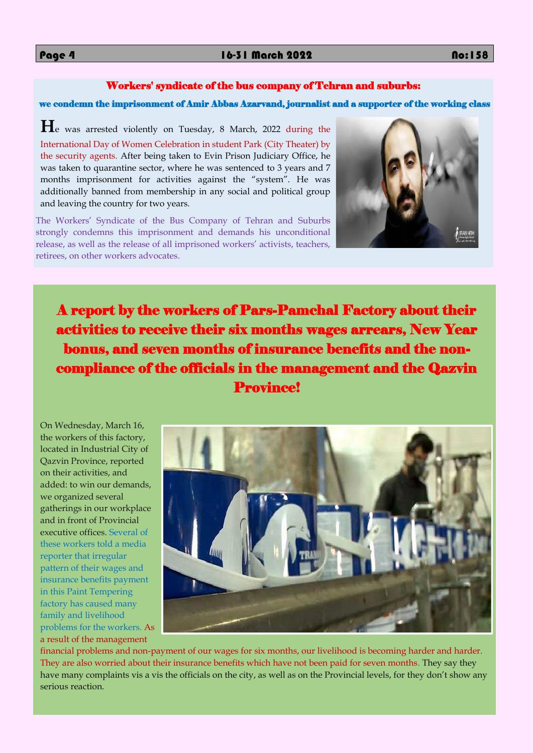### Workers' syndicate of the bus company of Tehran and suburbs:

#### we condemn the imprisonment of Amir Abbas Azarvand, journalist and a supporter of the working class

**H**e was arrested violently on Tuesday, 8 March, 2022 during the International Day of Women Celebration in student Park (City Theater) by the security agents. After being taken to Evin Prison Judiciary Office, he was taken to quarantine sector, where he was sentenced to 3 years and 7 months imprisonment for activities against the "system". He was additionally banned from membership in any social and political group and leaving the country for two years.



The Workers' Syndicate of the Bus Company of Tehran and Suburbs strongly condemns this imprisonment and demands his unconditional release, as well as the release of all imprisoned workers' activists, teachers, retirees, on other workers advocates.

A report by the workers of Pars-Pamchal Factory about their activities to receive their six months wages arrears, New Year bonus, and seven months of insurance benefits and the noncompliance of the officials in the management and the Qazvin Province!

On Wednesday, March 16, the workers of this factory, located in Industrial City of Qazvin Province, reported on their activities, and added: to win our demands, we organized several gatherings in our workplace and in front of Provincial executive offices. Several of these workers told a media reporter that irregular pattern of their wages and insurance benefits payment in this Paint Tempering factory has caused many family and livelihood problems for the workers. As a result of the management financial problems and non-payment of our wages for six months, our livelihood is becoming harder and harder. They are also worried about their insurance benefits which have not been paid for seven months. They say they have many complaints vis a vis the officials on the city, as well as on the Provincial levels, for they don't show any serious reaction.

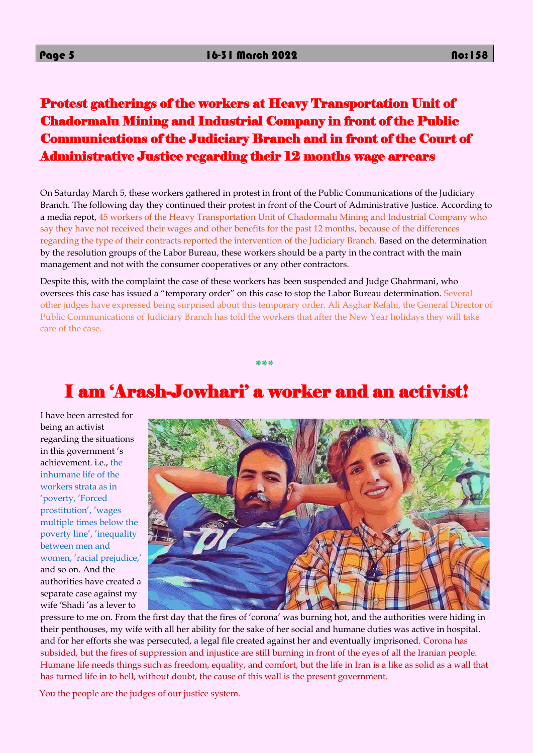Protest gatherings of the workers at Heavy Transportation Unit of Chadormalu Mining and Industrial Company in front of the Public Communications of the Judiciary Branch and in front of the Court of Administrative Justice regarding their 12 months wage arrears

On Saturday March 5, these workers gathered in protest in front of the Public Communications of the Judiciary Branch. The following day they continued their protest in front of the Court of Administrative Justice. According to a media repot, 45 workers of the Heavy Transportation Unit of Chadormalu Mining and Industrial Company who say they have not received their wages and other benefits for the past 12 months, because of the differences regarding the type of their contracts reported the intervention of the Judiciary Branch. Based on the determination by the resolution groups of the Labor Bureau, these workers should be a party in the contract with the main management and not with the consumer cooperatives or any other contractors.

Despite this, with the complaint the case of these workers has been suspended and Judge Ghahrmani, who oversees this case has issued a "temporary order" on this case to stop the Labor Bureau determination. Several other judges have expressed being surprised about this temporary order. Ali Asghar Refahi, the General Director of Public Communications of Judiciary Branch has told the workers that after the New Year holidays they will take care of the case.

**\*\*\***

# I am 'Arash-Jowhari' a worker and an activist!

I have been arrested for being an activist regarding the situations in this government 's achievement. i.e., the inhumane life of the workers strata as in 'poverty, 'Forced prostitution', 'wages multiple times below the poverty line', 'inequality between men and women, 'racial prejudice,' and so on. And the authorities have created a separate case against my wife 'Shadi 'as a lever to



pressure to me on. From the first day that the fires of 'corona' was burning hot, and the authorities were hiding in their penthouses, my wife with all her ability for the sake of her social and humane duties was active in hospital. and for her efforts she was persecuted, a legal file created against her and eventually imprisoned. Corona has subsided, but the fires of suppression and injustice are still burning in front of the eyes of all the Iranian people. Humane life needs things such as freedom, equality, and comfort, but the life in Iran is a like as solid as a wall that has turned life in to hell, without doubt, the cause of this wall is the present government.

You the people are the judges of our justice system.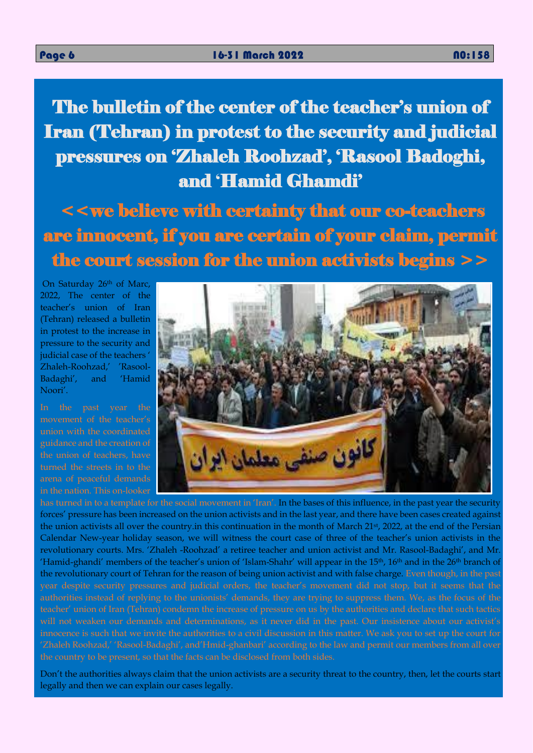The bulletin of the center of the teacher's union of Iran (Tehran) in protest to the security and judicial pressures on 'Zhaleh Roohzad', 'Rasool Badoghi, and 'Hamid Ghamdi'

 $<$  we believe with certainty that our co-teachers are innocent, if you are certain of your claim, permit the court session for the union activists begins  $\geq$ 

On Saturday 26th of Marc, 2022, The center of the teacher's union of Iran (Tehran) released a bulletin in protest to the increase in pressure to the security and judicial case of the teachers ' Zhaleh-Roohzad,' 'Rasool-Badaghi', and 'Hamid Noori'.

In the past year the movement of the teacher's union with the coordinated guidance and the creation of the union of teachers, have turned the streets in to the in the nation. This on-looker



has turned in to a template for the social movement in 'Iran'. In the bases of this influence, in the past year the security forces' pressure has been increased on the union activists and in the last year, and there have been cases created against the union activists all over the country.in this continuation in the month of March 21<sup>st</sup>, 2022, at the end of the Persian Calendar New-year holiday season, we will witness the court case of three of the teacher's union activists in the revolutionary courts. Mrs. 'Zhaleh -Roohzad' a retiree teacher and union activist and Mr. Rasool-Badaghi', and Mr. 'Hamid-ghandi' members of the teacher's union of 'Islam-Shahr' will appear in the 15<sup>th</sup>, 16<sup>th</sup> and in the 26<sup>th</sup> branch of the revolutionary court of Tehran for the reason of being union activist and with false charge. Even though, in the past year despite security pressures and judicial orders, the teacher's movement did not stop, but it seems that the authorities instead of replying to the unionists' demands, they are trying to suppress them. We, as the focus of the teacher' union of Iran (Tehran) condemn the increase of pressure on us by the authorities and declare that such tactics will not weaken our demands and determinations, as it never did in the past. Our insistence about our activist's innocence is such that we invite the authorities to a civil discussion in this matter. We ask you to set up the court for 'Zhaleh Roohzad,' 'Rasool-Badaghi', and'Hmid-ghanbari' according to the law and permit our members from all over the country to be present, so that the facts can be disclosed from both sides.

Don't the authorities always claim that the union activists are a security threat to the country, then, let the courts start legally and then we can explain our cases legally.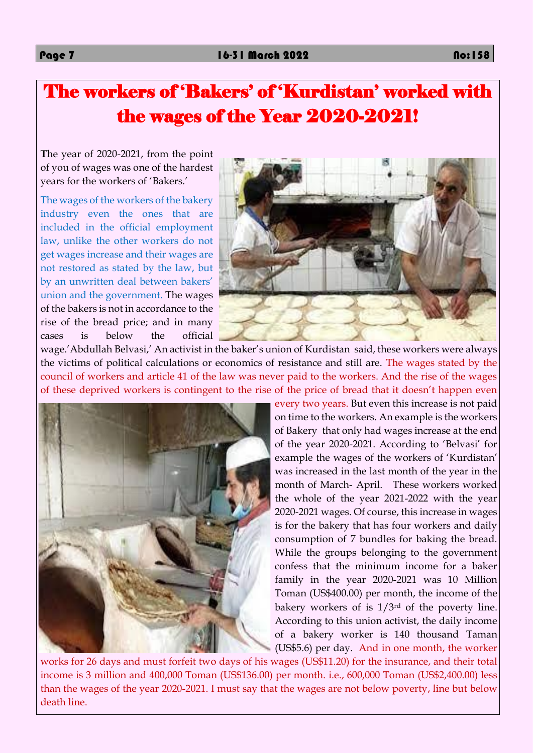# The workers of 'Bakers' of 'Kurdistan' worked with the wages of the Year 2020-2021!

**T**he year of 2020-2021, from the point of you of wages was one of the hardest years for the workers of 'Bakers.'

The wages of the workers of the bakery industry even the ones that are included in the official employment law, unlike the other workers do not get wages increase and their wages are not restored as stated by the law, but by an unwritten deal between bakers' union and the government. The wages of the bakers is not in accordance to the rise of the bread price; and in many cases is below the official



wage.'Abdullah Belvasi,' An activist in the baker's union of Kurdistan said, these workers were always the victims of political calculations or economics of resistance and still are. The wages stated by the council of workers and article 41 of the law was never paid to the workers. And the rise of the wages of these deprived workers is contingent to the rise of the price of bread that it doesn't happen even



every two years. But even this increase is not paid on time to the workers. An example is the workers of Bakery that only had wages increase at the end of the year 2020-2021. According to 'Belvasi' for example the wages of the workers of 'Kurdistan' was increased in the last month of the year in the month of March- April. These workers worked the whole of the year 2021-2022 with the year 2020-2021 wages. Of course, this increase in wages is for the bakery that has four workers and daily consumption of 7 bundles for baking the bread. While the groups belonging to the government confess that the minimum income for a baker family in the year 2020-2021 was 10 Million Toman (US\$400.00) per month, the income of the bakery workers of is 1/3rd of the poverty line. According to this union activist, the daily income of a bakery worker is 140 thousand Taman (US\$5.6) per day. And in one month, the worker works for 26 days and must forfeit two days of his wages (US\$11.20) for the insurance, and their total income is 3 million and 400,000 Toman (US\$136.00) per month. i.e., 600,000 Toman (US\$2,400.00) less than the wages of the year 2020-2021. I must say that the wages are not below poverty, line but below

death line.